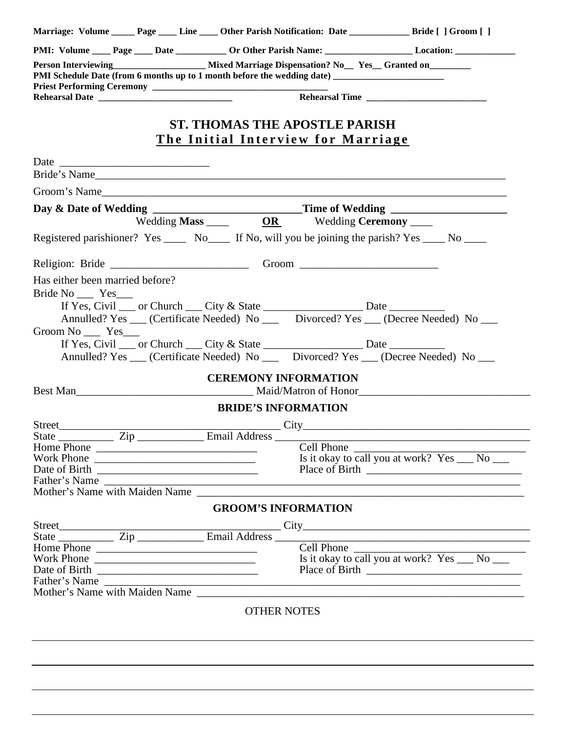| Marriage: Volume _______ Page ______ Line _____ Other Parish Notification: Date ___________________ Bride [ ] Groom [ ]                                                               |                                              |            |                                                                                    |  |  |  |
|---------------------------------------------------------------------------------------------------------------------------------------------------------------------------------------|----------------------------------------------|------------|------------------------------------------------------------------------------------|--|--|--|
|                                                                                                                                                                                       |                                              |            |                                                                                    |  |  |  |
| Person Interviewing<br><u>Mixed Marriage Dispensation? Now Yes</u> Granted on<br>PMI Schedule Date (from 6 months up to 1 month before the wedding date) ____________________________ |                                              |            |                                                                                    |  |  |  |
|                                                                                                                                                                                       |                                              |            |                                                                                    |  |  |  |
|                                                                                                                                                                                       | <b>ST. THOMAS THE APOSTLE PARISH</b>         |            |                                                                                    |  |  |  |
|                                                                                                                                                                                       | <u>The Initial Interview for Marriage</u>    |            |                                                                                    |  |  |  |
|                                                                                                                                                                                       |                                              |            |                                                                                    |  |  |  |
| Bride's Name                                                                                                                                                                          |                                              |            |                                                                                    |  |  |  |
|                                                                                                                                                                                       |                                              |            |                                                                                    |  |  |  |
| Groom's Name                                                                                                                                                                          |                                              |            |                                                                                    |  |  |  |
| Day & Date of Wedding ___________________________Time of Wedding _______________                                                                                                      | Wedding Mass ______ OR Wedding Ceremony ____ |            |                                                                                    |  |  |  |
|                                                                                                                                                                                       |                                              |            |                                                                                    |  |  |  |
| Registered parishioner? Yes ________ No_______ If No, will you be joining the parish? Yes _____ No _____                                                                              |                                              |            |                                                                                    |  |  |  |
|                                                                                                                                                                                       |                                              |            |                                                                                    |  |  |  |
| Has either been married before?                                                                                                                                                       |                                              |            |                                                                                    |  |  |  |
| Bride No _______ Yes______                                                                                                                                                            |                                              |            |                                                                                    |  |  |  |
| If Yes, Civil _____ or Church _____ City & State ___________________________ Date __________________                                                                                  |                                              |            |                                                                                    |  |  |  |
|                                                                                                                                                                                       |                                              |            | Annulled? Yes __ (Certificate Needed) No __ Divorced? Yes __ (Decree Needed) No __ |  |  |  |
| Groom No ______ Yes____                                                                                                                                                               |                                              |            |                                                                                    |  |  |  |
| If Yes, Civil ___ or Church ___ City & State _________________________ Date ________________________                                                                                  |                                              |            |                                                                                    |  |  |  |
| Annulled? Yes ___ (Certificate Needed) No ____ Divorced? Yes ___ (Decree Needed) No ___                                                                                               |                                              |            |                                                                                    |  |  |  |
|                                                                                                                                                                                       |                                              |            |                                                                                    |  |  |  |
|                                                                                                                                                                                       | <b>CEREMONY INFORMATION</b>                  |            |                                                                                    |  |  |  |
| Best Man Maid/Matron of Honor                                                                                                                                                         |                                              |            |                                                                                    |  |  |  |
|                                                                                                                                                                                       | <b>BRIDE'S INFORMATION</b>                   |            |                                                                                    |  |  |  |
|                                                                                                                                                                                       |                                              |            |                                                                                    |  |  |  |
| State $\frac{Zip}{\sqrt{I}}$ Email Address                                                                                                                                            |                                              |            |                                                                                    |  |  |  |
| Home Phone                                                                                                                                                                            |                                              | Cell Phone |                                                                                    |  |  |  |
| Work Phone                                                                                                                                                                            |                                              |            | Is it okay to call you at work? $Yes_{\_\_} No_{\_\_}$                             |  |  |  |
| Father's Name                                                                                                                                                                         |                                              |            |                                                                                    |  |  |  |
|                                                                                                                                                                                       |                                              |            |                                                                                    |  |  |  |
|                                                                                                                                                                                       | <b>GROOM'S INFORMATION</b>                   |            |                                                                                    |  |  |  |
| Street<br>State <u>State</u> Zip Email Address City<br>Home Phone                                                                                                                     |                                              |            |                                                                                    |  |  |  |
|                                                                                                                                                                                       |                                              |            |                                                                                    |  |  |  |
|                                                                                                                                                                                       |                                              |            |                                                                                    |  |  |  |
|                                                                                                                                                                                       |                                              |            | Is it okay to call you at work? $Yes_{\_\_} No_{\_\_}$                             |  |  |  |
|                                                                                                                                                                                       |                                              |            |                                                                                    |  |  |  |
| Father's Name                                                                                                                                                                         |                                              |            |                                                                                    |  |  |  |
|                                                                                                                                                                                       |                                              |            |                                                                                    |  |  |  |
|                                                                                                                                                                                       | <b>OTHER NOTES</b>                           |            |                                                                                    |  |  |  |
|                                                                                                                                                                                       |                                              |            |                                                                                    |  |  |  |
|                                                                                                                                                                                       |                                              |            |                                                                                    |  |  |  |
|                                                                                                                                                                                       |                                              |            |                                                                                    |  |  |  |
| <u> 1999 - Johann Harry Harry Harry Harry Harry Harry Harry Harry Harry Harry Harry Harry Harry Harry Harry Harry</u>                                                                 |                                              |            |                                                                                    |  |  |  |
|                                                                                                                                                                                       |                                              |            |                                                                                    |  |  |  |